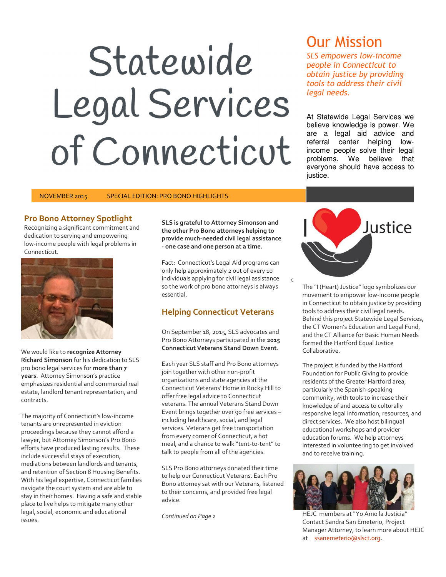# Statewide Legal Services of Connecticut

### Our Mission

SLS empowers low-income people in Connecticut to obtain justice by providing tools to address their civil legal needs.

At Statewide Legal Services we believe knowledge is power. We are a legal aid advice and referral center helping lowincome people solve their legal problems. We believe that everyone should have access to justice.

#### NOVEMBER 2015 SPECIAL EDITION: PRO BONO HIGHLIGHTS

#### Pro Bono Attorney Spotlight **Richard Simonson Simonson**

Recognizing a significant commitment and dedication to serving and empowering low-income people with legal problems in Connecticut.



We would like to recognize Attorney Richard Simonson for his dedication to SLS pro bono legal services for more than 7 years. Attorney Simonson's practice emphasizes residential and commercial real estate, landlord tenant representation, and contracts.

The majority of Connecticut's low-income tenants are unrepresented in eviction proceedings because they cannot afford a lawyer, but Attorney Simonson's Pro Bono efforts have produced lasting results. These include successful stays of execution, mediations between landlords and tenants, and retention of Section 8 Housing Benefits. With his legal expertise, Connecticut families navigate the court system and are able to stay in their homes. Having a safe and stable place to live helps to mitigate many other legal, social, economic and educational issues.

SLS is grateful to Attorney Simonson and the other Pro Bono attorneys helping to provide much-needed civil legal assistance - one case and one person at a time.

Fact: Connecticut's Legal Aid programs can only help approximately 2 out of every 10 individuals applying for civil legal assistance so the work of pro bono attorneys is always essential.

C

#### Helping Connecticut Veterans

On September 18, 2015, SLS advocates and Pro Bono Attorneys participated in the 2015 Connecticut Veterans Stand Down Event.

Each year SLS staff and Pro Bono attorneys join together with other non-profit organizations and state agencies at the Connecticut Veterans' Home in Rocky Hill to offer free legal advice to Connecticut veterans. The annual Veterans Stand Down Event brings together over 90 free services – including healthcare, social, and legal services. Veterans get free transportation from every corner of Connecticut, a hot meal, and a chance to walk "tent-to-tent" to talk to people from all of the agencies.

SLS Pro Bono attorneys donated their time to help our Connecticut Veterans. Each Pro Bono attorney sat with our Veterans, listened to their concerns, and provided free legal advice.

Continued on Page 2



The "I (Heart) Justice" logo symbolizes our movement to empower low-income people in Connecticut to obtain justice by providing tools to address their civil legal needs. Behind this project Statewide Legal Services, the CT Women's Education and Legal Fund, and the CT Alliance for Basic Human Needs formed the Hartford Equal Justice Collaborative.

The project is funded by the Hartford Foundation for Public Giving to provide residents of the Greater Hartford area, particularly the Spanish-speaking community, with tools to increase their knowledge of and access to culturally responsive legal information, resources, and direct services. We also host bilingual educational workshops and provider education forums. We help attorneys interested in volunteering to get involved and to receive training.



HEJC members at "Yo Amo la Justicia" Contact Sandra San Emeterio, Project Manager Attorney, to learn more about HEJC at ssanemeterio@slsct.org.